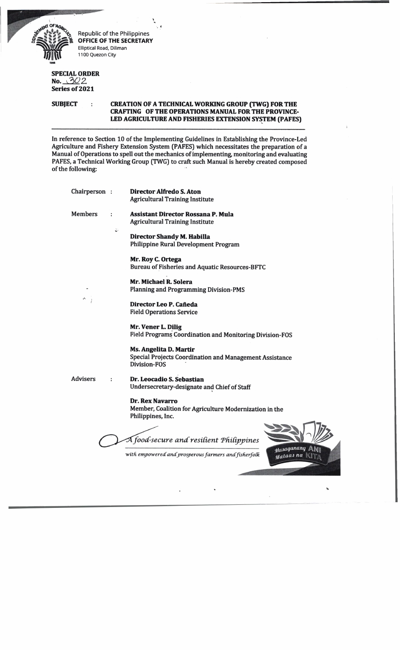$\lim_{\longrightarrow} \lim_{\longleftarrow}$ 

Republic of the Philippines **OFFICE OF THE SECRETARY** Elliptical Road, Diliman 1100 Quezon City

## **SPECIAL ORDER** <u>no. 302</u> **Series of 2021**

## **SUBJECT : CREATION OF A TECHNICAL WORKING GROUP (TWG) FOR THE CRAFTING OF THE OPERATIONS MANUAL FOR THE PROVINCE-LED AGRICULTURE AND FISHERIES EXTENSION SYSTEM (PAFES)**

In reference to Section 10 of the Implementing Guidelines in Establishing the Province-Led Agriculture and Fishery Extension System (PAFES) which necessitates the preparation of a Manual of Operations to spell out the mechanics of implementing, monitoring and evaluating PAFES, a Technical Working Group (TWG) to craft such Manual is hereby created composed of the following:

| Chairperson:   |    | Director Alfredo S. Aton<br><b>Agricultural Training Institute</b>                                       |
|----------------|----|----------------------------------------------------------------------------------------------------------|
| <b>Members</b> |    | <b>Assistant Director Rossana P. Mula</b><br><b>Agricultural Training Institute</b>                      |
|                | :ن | Director Shandy M. Habilla<br><b>Philippine Rural Development Program</b>                                |
|                |    | Mr. Roy C. Ortega<br><b>Bureau of Fisheries and Aquatic Resources-BFTC</b>                               |
|                |    | Mr. Michael R. Solera<br><b>Planning and Programming Division-PMS</b>                                    |
|                |    | Director Leo P. Cañeda<br><b>Field Operations Service</b>                                                |
|                |    | Mr. Vener L. Dilig<br>Field Programs Coordination and Monitoring Division-FOS                            |
|                |    | <b>Ms. Angelita D. Martir</b><br>Special Projects Coordination and Management Assistance<br>Division-FOS |
| Advisers       | ÷  | Dr. Leocadio S. Sebastian<br>Undersecretary-designate and Chief of Staff                                 |
|                |    | <b>Dr. Rex Navarro</b><br>Member, Coalition for Agriculture Modernization in the<br>Philippines, Inc.    |
|                |    | A food-secure and resilient Philippines                                                                  |
|                |    | Masaganang<br>with empowered and prosperous farmers and fisherfolk<br>Mataas na                          |

\*